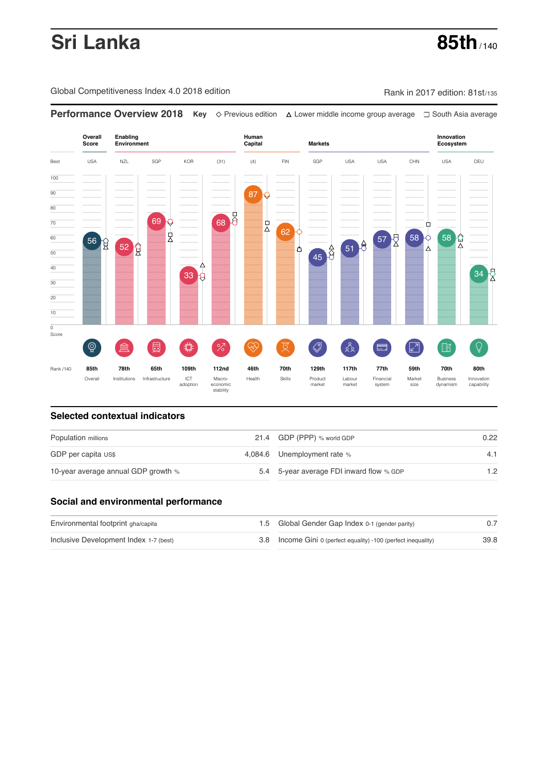# **Sri Lanka 85th** / 140

Global Competitiveness Index 4.0 2018 edition Company Company Rank in 2017 edition: 81st/135

**Performance Overview 2018 Key** Previous edition Lower middle income group average South Asia average



### **Selected contextual indicators**

| Population millions                 | 21.4 GDP (PPP) % world GDP               | 0.22 |  |
|-------------------------------------|------------------------------------------|------|--|
| GDP per capita US\$                 | 4,084.6 Unemployment rate %              | 4.1  |  |
| 10-year average annual GDP growth % | 5.4 5-year average FDI inward flow % GDP | 1.2  |  |

### **Social and environmental performance**

| Environmental footprint gha/capita     | 1.5 Global Gender Gap Index 0-1 (gender parity)                |      |
|----------------------------------------|----------------------------------------------------------------|------|
| Inclusive Development Index 1-7 (best) | 3.8 Income Gini 0 (perfect equality) -100 (perfect inequality) | 39.8 |

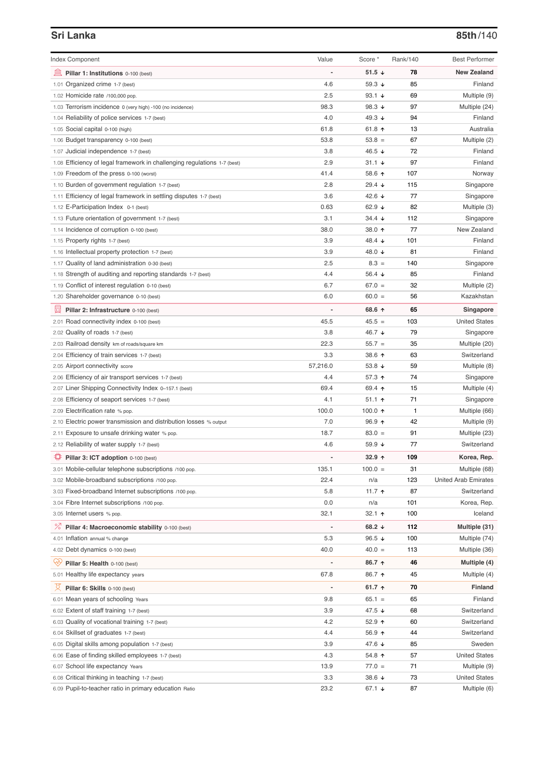# **Sri Lanka 85th**/140

| <b>Index Component</b>                                                             | Value                    | Score *          | Rank/140 | <b>Best Performer</b> |
|------------------------------------------------------------------------------------|--------------------------|------------------|----------|-----------------------|
| Pillar 1: Institutions 0-100 (best)                                                | $\overline{a}$           | 51.5 $\sqrt{ }$  | 78       | <b>New Zealand</b>    |
| 1.01 Organized crime 1-7 (best)                                                    | 4.6                      | 59.3 $\sqrt{ }$  | 85       | Finland               |
| 1.02 Homicide rate /100,000 pop.                                                   | 2.5                      | 93.1 $\sqrt{ }$  | 69       | Multiple (9)          |
| 1.03 Terrorism incidence 0 (very high) -100 (no incidence)                         | 98.3                     | 98.3 $\sqrt{ }$  | 97       | Multiple (24)         |
| 1.04 Reliability of police services 1-7 (best)                                     | 4.0                      | 49.3 $\sqrt{ }$  | 94       | Finland               |
| 1.05 Social capital 0-100 (high)                                                   | 61.8                     | 61.8 $\uparrow$  | 13       | Australia             |
| 1.06 Budget transparency 0-100 (best)                                              | 53.8                     | $53.8 =$         | 67       | Multiple (2)          |
| 1.07 Judicial independence 1-7 (best)                                              | 3.8                      | 46.5 ↓           | 72       | Finland               |
| 1.08 Efficiency of legal framework in challenging regulations 1-7 (best)           | 2.9                      | $31.1 +$         | 97       | Finland               |
| 1.09 Freedom of the press 0-100 (worst)                                            | 41.4                     | 58.6 个           | 107      | Norway                |
| 1.10 Burden of government regulation 1-7 (best)                                    | 2.8                      | 29.4 $\sqrt{ }$  | 115      | Singapore             |
| 1.11 Efficiency of legal framework in settling disputes 1-7 (best)                 | 3.6                      | 42.6 $\sqrt{ }$  | 77       | Singapore             |
| 1.12 E-Participation Index 0-1 (best)                                              | 0.63                     | 62.9 $\sqrt{ }$  | 82       | Multiple (3)          |
| 1.13 Future orientation of government 1-7 (best)                                   | 3.1                      | $34.4 +$         | 112      | Singapore             |
| 1.14 Incidence of corruption 0-100 (best)                                          | 38.0                     | 38.0 个           | 77       | New Zealand           |
| 1.15 Property rights 1-7 (best)                                                    | 3.9                      | 48.4 ↓           | 101      | Finland               |
| 1.16 Intellectual property protection 1-7 (best)                                   | 3.9                      | 48.0 ↓           | 81       | Finland               |
| 1.17 Quality of land administration 0-30 (best)                                    | 2.5                      | $8.3 =$          | 140      | Singapore             |
| 1.18 Strength of auditing and reporting standards 1-7 (best)                       | 4.4                      | 56.4 $\sqrt{ }$  | 85       | Finland               |
| 1.19 Conflict of interest regulation 0-10 (best)                                   | 6.7                      | $67.0 =$         | 32       | Multiple (2)          |
| 1.20 Shareholder governance 0-10 (best)                                            | 6.0                      | $60.0 =$         | 56       | Kazakhstan            |
| 圓                                                                                  |                          | 68.6 ↑           | 65       | Singapore             |
| Pillar 2: Infrastructure 0-100 (best)<br>2.01 Road connectivity index 0-100 (best) | 45.5                     | $45.5 =$         | 103      | <b>United States</b>  |
| 2.02 Quality of roads 1-7 (best)                                                   | 3.8                      | 46.7 ↓           | 79       | Singapore             |
|                                                                                    | 22.3                     | $55.7 =$         | 35       | Multiple (20)         |
| 2.03 Railroad density km of roads/square km                                        | 3.3                      | 38.6 个           | 63       | Switzerland           |
| 2.04 Efficiency of train services 1-7 (best)<br>2.05 Airport connectivity score    | 57,216.0                 | 53.8 $\sqrt{ }$  | 59       |                       |
|                                                                                    | 4.4                      | 57.3 ↑           | 74       | Multiple (8)          |
| 2.06 Efficiency of air transport services 1-7 (best)                               | 69.4                     |                  | 15       | Singapore             |
| 2.07 Liner Shipping Connectivity Index 0-157.1 (best)                              |                          | 69.4 ↑           |          | Multiple (4)          |
| 2.08 Efficiency of seaport services 1-7 (best)                                     | 4.1                      | $51.1$ ↑         | 71       | Singapore             |
| 2.09 Electrification rate % pop.                                                   | 100.0                    | 100.0 $\uparrow$ | 1        | Multiple (66)         |
| 2.10 Electric power transmission and distribution losses % output                  | 7.0<br>18.7              | $96.9$ ↑         | 42<br>91 | Multiple (9)          |
| 2.11 Exposure to unsafe drinking water % pop.                                      |                          | $83.0 =$         |          | Multiple (23)         |
| 2.12 Reliability of water supply 1-7 (best)                                        | 4.6                      | 59.9 $\sqrt{ }$  | 77       | Switzerland           |
| Pillar 3: ICT adoption 0-100 (best)                                                | $\overline{a}$           | $32.9 +$         | 109      | Korea, Rep.           |
| 3.01 Mobile-cellular telephone subscriptions /100 pop.                             | 135.1                    | $100.0 =$        | 31       | Multiple (68)         |
| 3.02 Mobile-broadband subscriptions /100 pop.                                      | 22.4                     | n/a              | 123      | United Arab Emirates  |
| 3.03 Fixed-broadband Internet subscriptions /100 pop.                              | 5.8                      | 11.7 $\uparrow$  | 87       | Switzerland           |
| 3.04 Fibre Internet subscriptions /100 pop.                                        | 0.0                      | n/a              | 101      | Korea, Rep.           |
| 3.05 Internet users % pop.                                                         | 32.1                     | 32.1 $\uparrow$  | 100      | Iceland               |
| ℅<br>Pillar 4: Macroeconomic stability 0-100 (best)                                | $\overline{\phantom{a}}$ | 68.2 $\sqrt{ }$  | 112      | Multiple (31)         |
| 4.01 Inflation annual % change                                                     | 5.3                      | 96.5 $\sqrt{ }$  | 100      | Multiple (74)         |
| 4.02 Debt dynamics 0-100 (best)                                                    | 40.0                     | $40.0 =$         | 113      | Multiple (36)         |
| Ųу.<br>Pillar 5: Health 0-100 (best)                                               |                          | 86.7 ↑           | 46       | Multiple (4)          |
| 5.01 Healthy life expectancy years                                                 | 67.8                     | 86.7 ↑           | 45       | Multiple (4)          |
| 섯<br>Pillar 6: Skills 0-100 (best)                                                 | $\overline{\phantom{0}}$ | 61.7 $\uparrow$  | 70       | Finland               |
| 6.01 Mean years of schooling Years                                                 | 9.8                      | $65.1 =$         | 65       | Finland               |
| 6.02 Extent of staff training 1-7 (best)                                           | 3.9                      | 47.5 ↓           | 68       | Switzerland           |
| 6.03 Quality of vocational training 1-7 (best)                                     | 4.2                      | 52.9 $\uparrow$  | 60       | Switzerland           |
| 6.04 Skillset of graduates 1-7 (best)                                              | 4.4                      | 56.9 个           | 44       | Switzerland           |
| 6.05 Digital skills among population 1-7 (best)                                    | 3.9                      | 47.6 ↓           | 85       | Sweden                |
| 6.06 Ease of finding skilled employees 1-7 (best)                                  | 4.3                      | 54.8 个           | 57       | <b>United States</b>  |
| 6.07 School life expectancy Years                                                  | 13.9                     | $77.0 =$         | 71       | Multiple (9)          |
| 6.08 Critical thinking in teaching 1-7 (best)                                      | 3.3                      | 38.6 $\sqrt{ }$  | 73       | <b>United States</b>  |
| 6.09 Pupil-to-teacher ratio in primary education Ratio                             | 23.2                     | 67.1 ↓           | 87       | Multiple (6)          |